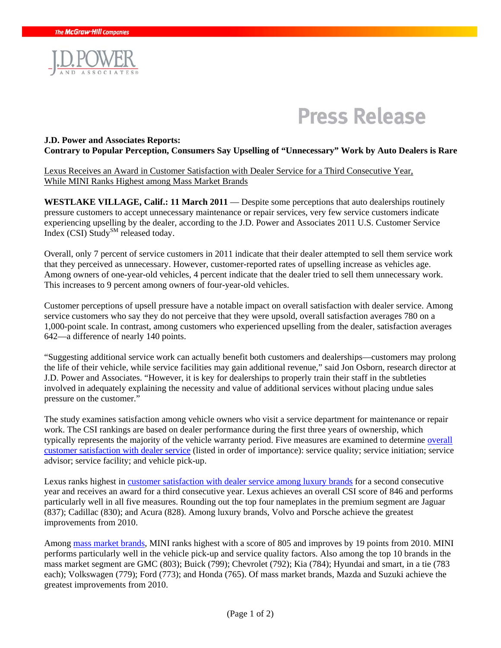

# **Press Release**

### **J.D. Power and Associates Reports: Contrary to Popular Perception, Consumers Say Upselling of "Unnecessary" Work by Auto Dealers is Rare**

Lexus Receives an Award in Customer Satisfaction with Dealer Service for a Third Consecutive Year, While MINI Ranks Highest among Mass Market Brands

WESTLAKE VILLAGE, Calif.: 11 March 2011 — Despite some perceptions that auto dealerships routinely pressure customers to accept unnecessary maintenance or repair services, very few service customers indicate experiencing upselling by the dealer, according to the J.D. Power and Associates 2011 U.S. Customer Service Index  $(CSI)$  Study<sup>SM</sup> released today.

Overall, only 7 percent of service customers in 2011 indicate that their dealer attempted to sell them service work that they perceived as unnecessary. However, customer-reported rates of upselling increase as vehicles age. Among owners of one-year-old vehicles, 4 percent indicate that the dealer tried to sell them unnecessary work. This increases to 9 percent among owners of four-year-old vehicles.

Customer perceptions of upsell pressure have a notable impact on overall satisfaction with dealer service. Among service customers who say they do not perceive that they were upsold, overall satisfaction averages 780 on a 1,000-point scale. In contrast, among customers who experienced upselling from the dealer, satisfaction averages 642—a difference of nearly 140 points.

"Suggesting additional service work can actually benefit both customers and dealerships—customers may prolong the life of their vehicle, while service facilities may gain additional revenue," said Jon Osborn, research director at J.D. Power and Associates. "However, it is key for dealerships to properly train their staff in the subtleties involved in adequately explaining the necessity and value of additional services without placing undue sales pressure on the customer."

The study examines satisfaction among vehicle owners who visit a service department for maintenance or repair work. The CSI rankings are based on dealer performance during the first three years of ownership, which typically represents the majority of the vehicle warranty period. Five measures are examined to determine overall customer satisfaction with dealer service (listed in order of importance): service quality; service initiation; service advisor; service facility; and vehicle pick-up.

Lexus ranks highest in customer satisfaction with dealer service among luxury brands for a second consecutive year and receives an award for a third consecutive year. Lexus achieves an overall CSI score of 846 and performs particularly well in all five measures. Rounding out the top four nameplates in the premium segment are Jaguar (837); Cadillac (830); and Acura (828). Among luxury brands, Volvo and Porsche achieve the greatest improvements from 2010.

Among mass market brands, MINI ranks highest with a score of 805 and improves by 19 points from 2010. MINI performs particularly well in the vehicle pick-up and service quality factors. Also among the top 10 brands in the mass market segment are GMC (803); Buick (799); Chevrolet (792); Kia (784); Hyundai and smart, in a tie (783 each); Volkswagen (779); Ford (773); and Honda (765). Of mass market brands, Mazda and Suzuki achieve the greatest improvements from 2010.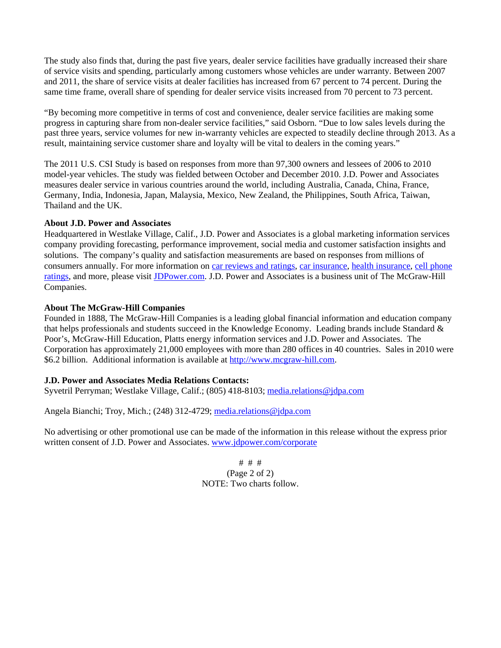The study also finds that, during the past five years, dealer service facilities have gradually increased their share of service visits and spending, particularly among customers whose vehicles are under warranty. Between 2007 and 2011, the share of service visits at dealer facilities has increased from 67 percent to 74 percent. During the same time frame, overall share of spending for dealer service visits increased from 70 percent to 73 percent.

"By becoming more competitive in terms of cost and convenience, dealer service facilities are making some progress in capturing share from non-dealer service facilities," said Osborn. "Due to low sales levels during the past three years, service volumes for new in-warranty vehicles are expected to steadily decline through 2013. As a result, maintaining service customer share and loyalty will be vital to dealers in the coming years."

The 2011 U.S. CSI Study is based on responses from more than 97,300 owners and lessees of 2006 to 2010 model-year vehicles. The study was fielded between October and December 2010. J.D. Power and Associates measures dealer service in various countries around the world, including Australia, Canada, China, France, Germany, India, Indonesia, Japan, Malaysia, Mexico, New Zealand, the Philippines, South Africa, Taiwan, Thailand and the UK.

### **About J.D. Power and Associates**

Headquartered in Westlake Village, Calif., J.D. Power and Associates is a global marketing information services company providing forecasting, performance improvement, social media and customer satisfaction insights and solutions. The company's quality and satisfaction measurements are based on responses from millions of consumers annually. For more information on car reviews and ratings, car insurance, health insurance, cell phone ratings, and more, please visit JDPower.com. J.D. Power and Associates is a business unit of The McGraw-Hill Companies.

### **About The McGraw-Hill Companies**

Founded in 1888, The McGraw-Hill Companies is a leading global financial information and education company that helps professionals and students succeed in the Knowledge Economy. Leading brands include Standard & Poor's, McGraw-Hill Education, Platts energy information services and J.D. Power and Associates. The Corporation has approximately 21,000 employees with more than 280 offices in 40 countries. Sales in 2010 were \$6.2 billion. Additional information is available at http://www.mcgraw-hill.com.

### **J.D. Power and Associates Media Relations Contacts:**

Syvetril Perryman; Westlake Village, Calif.; (805) 418-8103; media.relations@jdpa.com

Angela Bianchi; Troy, Mich.; (248) 312-4729; media.relations@jdpa.com

No advertising or other promotional use can be made of the information in this release without the express prior written consent of J.D. Power and Associates. www.jdpower.com/corporate

> # # # (Page 2 of 2) NOTE: Two charts follow.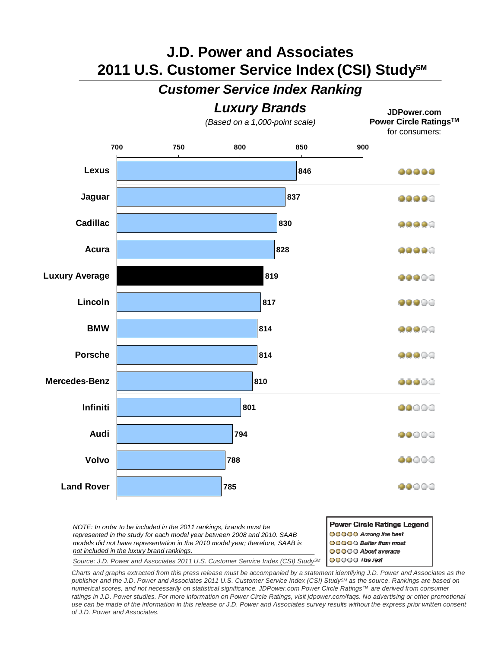# **J.D. Power and Associates**  2011 U.S. Customer Service Index (CSI) Study<sup>sM</sup>

### *Customer Service Index Ranking*

## *Luxury Brands*

*(Based on a 1,000-point scale)*

**JDPower.com Power Circle RatingsTM** for consumers:



*NOTE: In order to be included in the 2011 rankings, brands must be represented in the study for each model year between 2008 and 2010. SAAB models did not have representation in the 2010 model year; therefore, SAAB is not included in the luxury brand rankings.* 

Power Circle Ratings Legend 00000 Among the best **OOOOO** Better than most OOOOO About average OOOOO Ihe rest

*Source: J.D. Power and Associates 2011 U.S. Customer Service Index (CSI) StudySM*

*Charts and graphs extracted from this press release must be accompanied by a statement identifying J.D. Power and Associates as the publisher and the J.D. Power and Associates 2011 U.S. Customer Service Index (CSI) StudySM as the source. Rankings are based on numerical scores, and not necessarily on statistical significance. JDPower.com Power Circle Ratings™ are derived from consumer*  ratings in J.D. Power studies. For more information on Power Circle Ratings, visit jdpower.com/faqs. No advertising or other promotional *use can be made of the information in this release or J.D. Power and Associates survey results without the express prior written consent of J.D. Power and Associates.*